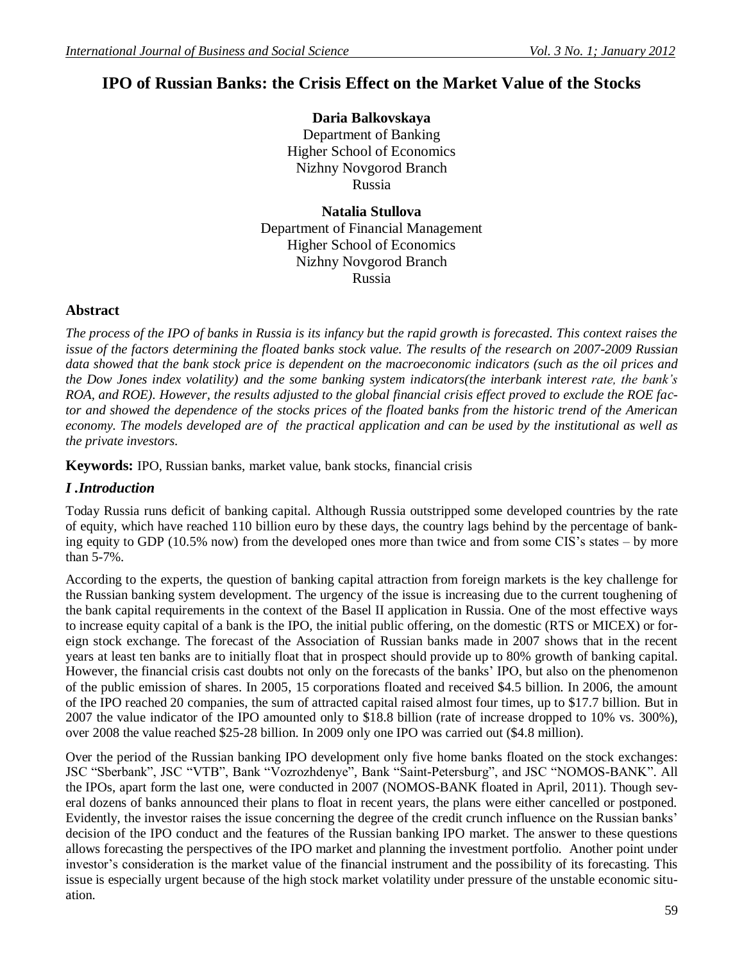## **IPO of Russian Banks: the Crisis Effect on the Market Value of the Stocks**

**Daria Balkovskaya** Department of Banking Higher School of Economics Nizhny Novgorod Branch Russia

**Natalia Stullova** Department of Financial Management Higher School of Economics Nizhny Novgorod Branch Russia

#### **Abstract**

*The process of the IPO of banks in Russia is its infancy but the rapid growth is forecasted. This context raises the issue of the factors determining the floated banks stock value. The results of the research on 2007-2009 Russian data showed that the bank stock price is dependent on the macroeconomic indicators (such as the oil prices and the Dow Jones index volatility) and the some banking system indicators(the interbank interest rate, the bank's ROA, and ROE). However, the results adjusted to the global financial crisis effect proved to exclude the ROE factor and showed the dependence of the stocks prices of the floated banks from the historic trend of the American economy. The models developed are of the practical application and can be used by the institutional as well as the private investors.*

**Keywords:** IPO, Russian banks, market value, bank stocks, financial crisis

#### *I .Introduction*

Today Russia runs deficit of banking capital. Although Russia outstripped some developed countries by the rate of equity, which have reached 110 billion euro by these days, the country lags behind by the percentage of banking equity to GDP (10.5% now) from the developed ones more than twice and from some CIS's states – by more than 5-7%.

According to the experts, the question of banking capital attraction from foreign markets is the key challenge for the Russian banking system development. The urgency of the issue is increasing due to the current toughening of the bank capital requirements in the context of the Basel II application in Russia. One of the most effective ways to increase equity capital of a bank is the IPO, the initial public offering, on the domestic (RTS or MICEX) or foreign stock exchange. The forecast of the Association of Russian banks made in 2007 shows that in the recent years at least ten banks are to initially float that in prospect should provide up to 80% growth of banking capital. However, the financial crisis cast doubts not only on the forecasts of the banks' IPO, but also on the phenomenon of the public emission of shares. In 2005, 15 corporations floated and received \$4.5 billion. In 2006, the amount of the IPO reached 20 companies, the sum of attracted capital raised almost four times, up to \$17.7 billion. But in 2007 the value indicator of the IPO amounted only to \$18.8 billion (rate of increase dropped to 10% vs. 300%), over 2008 the value reached \$25-28 billion. In 2009 only one IPO was carried out (\$4.8 million).

Over the period of the Russian banking IPO development only five home banks floated on the stock exchanges: JSC "Sberbank", JSC "VTB", Bank "Vozrozhdenye", Bank "Saint-Petersburg", and JSC "NOMOS-BANK". All the IPOs, apart form the last one, were conducted in 2007 (NOMOS-BANK floated in April, 2011). Though several dozens of banks announced their plans to float in recent years, the plans were either cancelled or postponed. Evidently, the investor raises the issue concerning the degree of the credit crunch influence on the Russian banks' decision of the IPO conduct and the features of the Russian banking IPO market. The answer to these questions allows forecasting the perspectives of the IPO market and planning the investment portfolio. Another point under investor's consideration is the market value of the financial instrument and the possibility of its forecasting. This issue is especially urgent because of the high stock market volatility under pressure of the unstable economic situation.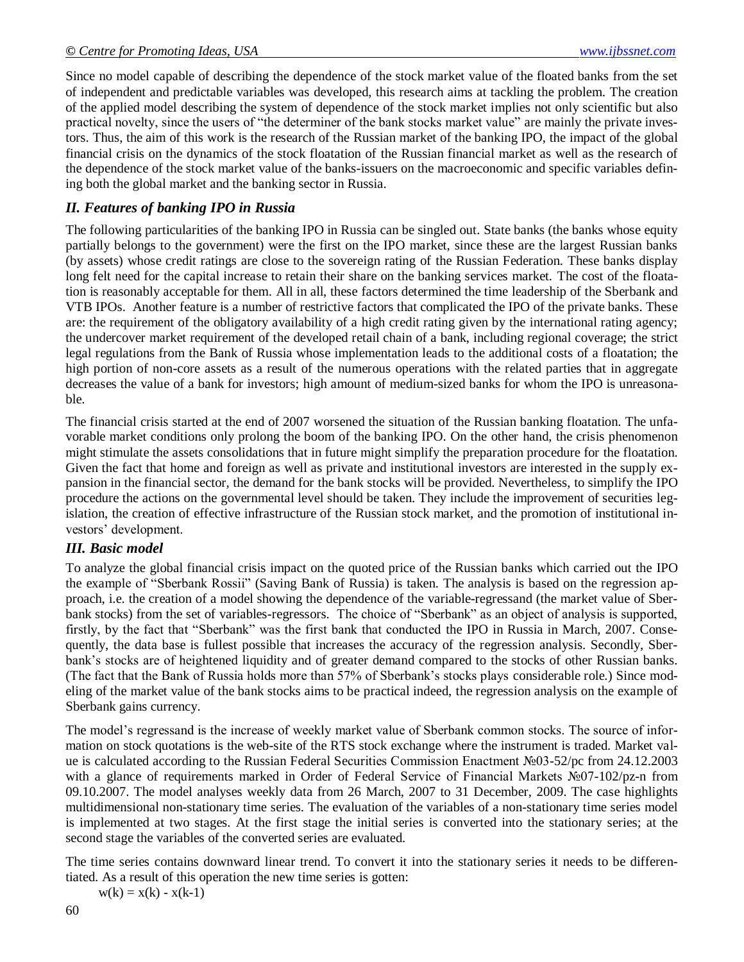Since no model capable of describing the dependence of the stock market value of the floated banks from the set of independent and predictable variables was developed, this research aims at tackling the problem. The creation of the applied model describing the system of dependence of the stock market implies not only scientific but also practical novelty, since the users of "the determiner of the bank stocks market value" are mainly the private investors. Thus, the aim of this work is the research of the Russian market of the banking IPO, the impact of the global financial crisis on the dynamics of the stock floatation of the Russian financial market as well as the research of the dependence of the stock market value of the banks-issuers on the macroeconomic and specific variables defining both the global market and the banking sector in Russia.

## *II. Features of banking IPO in Russia*

The following particularities of the banking IPO in Russia can be singled out. State banks (the banks whose equity partially belongs to the government) were the first on the IPO market, since these are the largest Russian banks (by assets) whose credit ratings are close to the sovereign rating of the Russian Federation. These banks display long felt need for the capital increase to retain their share on the banking services market. The cost of the floatation is reasonably acceptable for them. All in all, these factors determined the time leadership of the Sberbank and VTB IPOs. Another feature is a number of restrictive factors that complicated the IPO of the private banks. These are: the requirement of the obligatory availability of a high credit rating given by the international rating agency; the undercover market requirement of the developed retail chain of a bank, including regional coverage; the strict legal regulations from the Bank of Russia whose implementation leads to the additional costs of a floatation; the high portion of non-core assets as a result of the numerous operations with the related parties that in aggregate decreases the value of a bank for investors; high amount of medium-sized banks for whom the IPO is unreasonable.

The financial crisis started at the end of 2007 worsened the situation of the Russian banking floatation. The unfavorable market conditions only prolong the boom of the banking IPO. On the other hand, the crisis phenomenon might stimulate the assets consolidations that in future might simplify the preparation procedure for the floatation. Given the fact that home and foreign as well as private and institutional investors are interested in the supply expansion in the financial sector, the demand for the bank stocks will be provided. Nevertheless, to simplify the IPO procedure the actions on the governmental level should be taken. They include the improvement of securities legislation, the creation of effective infrastructure of the Russian stock market, and the promotion of institutional investors' development.

## *III. Basic model*

To analyze the global financial crisis impact on the quoted price of the Russian banks which carried out the IPO the example of "Sberbank Rossii" (Saving Bank of Russia) is taken. The analysis is based on the regression approach, i.e. the creation of a model showing the dependence of the variable-regressand (the market value of Sberbank stocks) from the set of variables-regressors. The choice of "Sberbank" as an object of analysis is supported, firstly, by the fact that "Sberbank" was the first bank that conducted the IPO in Russia in March, 2007. Consequently, the data base is fullest possible that increases the accuracy of the regression analysis. Secondly, Sberbank's stocks are of heightened liquidity and of greater demand compared to the stocks of other Russian banks. (The fact that the Bank of Russia holds more than 57% of Sberbank's stocks plays considerable role.) Since modeling of the market value of the bank stocks aims to be practical indeed, the regression analysis on the example of Sberbank gains currency.

The model's regressand is the increase of weekly market value of Sberbank common stocks. The source of information on stock quotations is the web-site of the RTS stock exchange where the instrument is traded. Market value is calculated according to the Russian Federal Securities Commission Enactment №03-52/pc from 24.12.2003 with a glance of requirements marked in Order of Federal Service of Financial Markets №07-102/pz-n from 09.10.2007. The model analyses weekly data from 26 March, 2007 to 31 December, 2009. The case highlights multidimensional non-stationary time series. The evaluation of the variables of a non-stationary time series model is implemented at two stages. At the first stage the initial series is converted into the stationary series; at the second stage the variables of the converted series are evaluated.

The time series contains downward linear trend. To convert it into the stationary series it needs to be differentiated. As a result of this operation the new time series is gotten:

 $w(k) = x(k) - x(k-1)$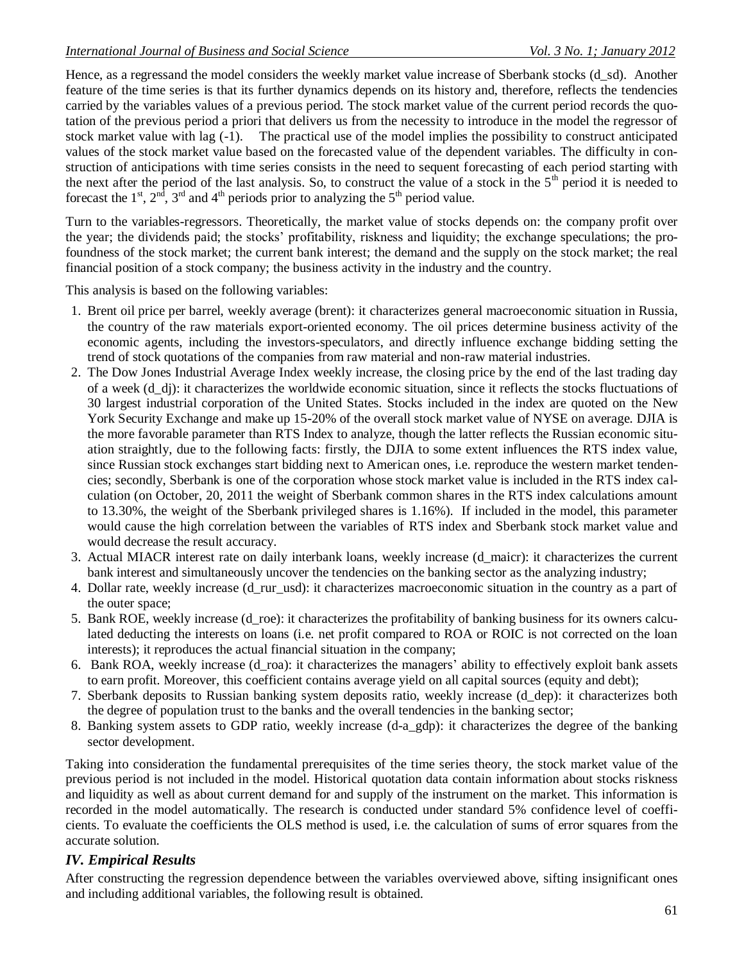Hence, as a regressand the model considers the weekly market value increase of Sberbank stocks (d\_sd). Another feature of the time series is that its further dynamics depends on its history and, therefore, reflects the tendencies carried by the variables values of a previous period. The stock market value of the current period records the quotation of the previous period a priori that delivers us from the necessity to introduce in the model the regressor of stock market value with lag (-1). The practical use of the model implies the possibility to construct anticipated values of the stock market value based on the forecasted value of the dependent variables. The difficulty in construction of anticipations with time series consists in the need to sequent forecasting of each period starting with the next after the period of the last analysis. So, to construct the value of a stock in the  $5<sup>th</sup>$  period it is needed to forecast the  $1<sup>st</sup>$ ,  $2<sup>nd</sup>$ ,  $3<sup>rd</sup>$  and  $4<sup>th</sup>$  periods prior to analyzing the  $5<sup>th</sup>$  period value.

Turn to the variables-regressors. Theoretically, the market value of stocks depends on: the company profit over the year; the dividends paid; the stocks' profitability, riskness and liquidity; the exchange speculations; the profoundness of the stock market; the current bank interest; the demand and the supply on the stock market; the real financial position of a stock company; the business activity in the industry and the country.

This analysis is based on the following variables:

- 1. Brent oil price per barrel, weekly average (brent): it characterizes general macroeconomic situation in Russia, the country of the raw materials export-oriented economy. The oil prices determine business activity of the economic agents, including the investors-speculators, and directly influence exchange bidding setting the trend of stock quotations of the companies from raw material and non-raw material industries.
- 2. The Dow Jones Industrial Average Index weekly increase, the closing price by the end of the last trading day of a week (d\_dj): it characterizes the worldwide economic situation, since it reflects the stocks fluctuations of 30 largest industrial corporation of the United States. Stocks included in the index are quoted on the New York Security Exchange and make up 15-20% of the overall stock market value of NYSE on average. DJIA is the more favorable parameter than RTS Index to analyze, though the latter reflects the Russian economic situation straightly, due to the following facts: firstly, the DJIA to some extent influences the RTS index value, since Russian stock exchanges start bidding next to American ones, i.e. reproduce the western market tendencies; secondly, Sberbank is one of the corporation whose stock market value is included in the RTS index calculation (on October, 20, 2011 the weight of Sberbank common shares in the RTS index calculations amount to 13.30%, the weight of the Sberbank privileged shares is 1.16%). If included in the model, this parameter would cause the high correlation between the variables of RTS index and Sberbank stock market value and would decrease the result accuracy.
- 3. Actual MIACR interest rate on daily interbank loans, weekly increase (d\_maicr): it characterizes the current bank interest and simultaneously uncover the tendencies on the banking sector as the analyzing industry;
- 4. Dollar rate, weekly increase (d\_rur\_usd): it characterizes macroeconomic situation in the country as a part of the outer space;
- 5. Bank ROE, weekly increase (d\_roe): it characterizes the profitability of banking business for its owners calculated deducting the interests on loans (i.e. net profit compared to ROA or ROIC is not corrected on the loan interests); it reproduces the actual financial situation in the company;
- 6. Bank ROA, weekly increase (d\_roa): it characterizes the managers' ability to effectively exploit bank assets to earn profit. Moreover, this coefficient contains average yield on all capital sources (equity and debt);
- 7. Sberbank deposits to Russian banking system deposits ratio, weekly increase (d\_dep): it characterizes both the degree of population trust to the banks and the overall tendencies in the banking sector;
- 8. Banking system assets to GDP ratio, weekly increase (d-a\_gdp): it characterizes the degree of the banking sector development.

Taking into consideration the fundamental prerequisites of the time series theory, the stock market value of the previous period is not included in the model. Historical quotation data contain information about stocks riskness and liquidity as well as about current demand for and supply of the instrument on the market. This information is recorded in the model automatically. The research is conducted under standard 5% confidence level of coefficients. To evaluate the coefficients the OLS method is used, i.e. the calculation of sums of error squares from the accurate solution.

### *IV. Empirical Results*

After constructing the regression dependence between the variables overviewed above, sifting insignificant ones and including additional variables, the following result is obtained.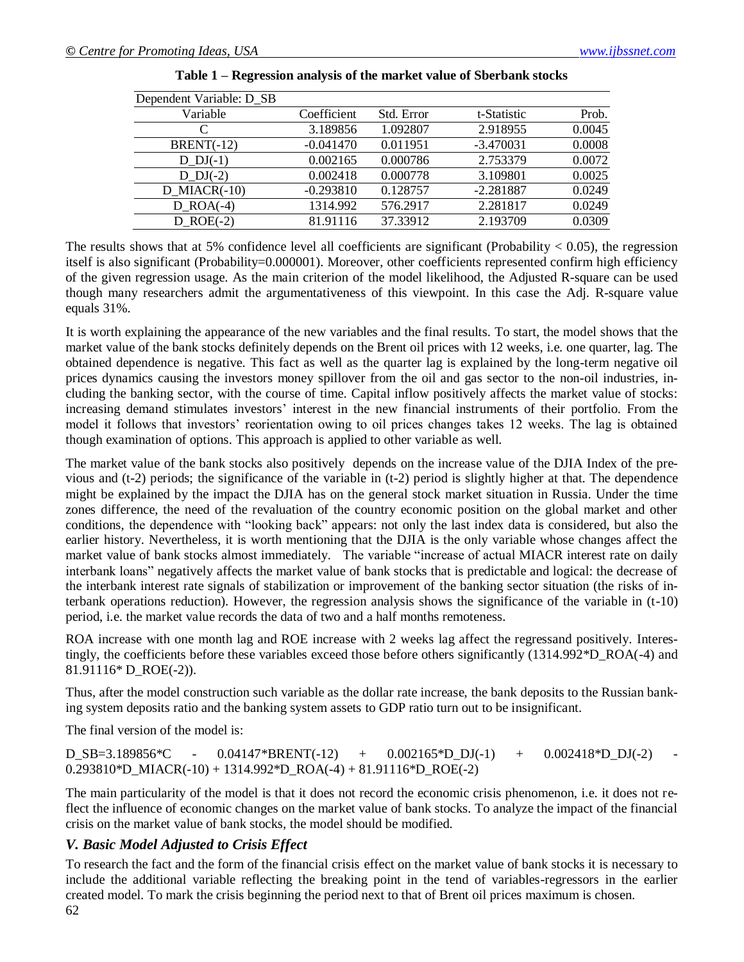| Dependent Variable: D SB |             |            |             |        |
|--------------------------|-------------|------------|-------------|--------|
| Variable                 | Coefficient | Std. Error | t-Statistic | Prob.  |
|                          | 3.189856    | 1.092807   | 2.918955    | 0.0045 |
| $BRENT(-12)$             | $-0.041470$ | 0.011951   | $-3.470031$ | 0.0008 |
| $D_{D}(-1)$              | 0.002165    | 0.000786   | 2.753379    | 0.0072 |
| D $DJ(-2)$               | 0.002418    | 0.000778   | 3.109801    | 0.0025 |
| $D$ MIACR(-10)           | $-0.293810$ | 0.128757   | $-2.281887$ | 0.0249 |
| $D$ ROA(-4)              | 1314.992    | 576.2917   | 2.281817    | 0.0249 |
| $D$ ROE $(-2)$           | 81.91116    | 37.33912   | 2.193709    | 0.0309 |

| Table 1 – Regression analysis of the market value of Sberbank stocks |  |  |  |
|----------------------------------------------------------------------|--|--|--|
|                                                                      |  |  |  |

The results shows that at 5% confidence level all coefficients are significant (Probability  $< 0.05$ ), the regression itself is also significant (Probability=0.000001). Moreover, other coefficients represented confirm high efficiency of the given regression usage. As the main criterion of the model likelihood, the Adjusted R-square can be used though many researchers admit the argumentativeness of this viewpoint. In this case the Adj. R-square value equals 31%.

It is worth explaining the appearance of the new variables and the final results. To start, the model shows that the market value of the bank stocks definitely depends on the Brent oil prices with 12 weeks, i.e. one quarter, lag. The obtained dependence is negative. This fact as well as the quarter lag is explained by the long-term negative oil prices dynamics causing the investors money spillover from the oil and gas sector to the non-oil industries, including the banking sector, with the course of time. Capital inflow positively affects the market value of stocks: increasing demand stimulates investors' interest in the new financial instruments of their portfolio. From the model it follows that investors' reorientation owing to oil prices changes takes 12 weeks. The lag is obtained though examination of options. This approach is applied to other variable as well.

The market value of the bank stocks also positively depends on the increase value of the DJIA Index of the previous and (t-2) periods; the significance of the variable in (t-2) period is slightly higher at that. The dependence might be explained by the impact the DJIA has on the general stock market situation in Russia. Under the time zones difference, the need of the revaluation of the country economic position on the global market and other conditions, the dependence with "looking back" appears: not only the last index data is considered, but also the earlier history. Nevertheless, it is worth mentioning that the DJIA is the only variable whose changes affect the market value of bank stocks almost immediately. The variable "increase of actual MIACR interest rate on daily interbank loans" negatively affects the market value of bank stocks that is predictable and logical: the decrease of the interbank interest rate signals of stabilization or improvement of the banking sector situation (the risks of interbank operations reduction). However, the regression analysis shows the significance of the variable in (t-10) period, i.e. the market value records the data of two and a half months remoteness.

ROA increase with one month lag and ROE increase with 2 weeks lag affect the regressand positively. Interestingly, the coefficients before these variables exceed those before others significantly (1314.992\*D\_ROA(-4) and 81.91116\* D\_ROE(-2)).

Thus, after the model construction such variable as the dollar rate increase, the bank deposits to the Russian banking system deposits ratio and the banking system assets to GDP ratio turn out to be insignificant.

The final version of the model is: Ï

 $D_S = 3.189856 \text{°C}$  -  $0.04147 \text{°BRENT}(-12)$  +  $0.002165 \text{°D}DJ(-1)$  +  $0.002418 \text{°D}DJ(-2)$ 0.293810\*D\_MIACR(-10) + 1314.992\*D\_ROA(-4) + 81.91116\*D\_ROE(-2)

The main particularity of the model is that it does not record the economic crisis phenomenon, i.e. it does not reflect the influence of economic changes on the market value of bank stocks. To analyze the impact of the financial crisis on the market value of bank stocks, the model should be modified.

## *V. Basic Model Adjusted to Crisis Effect*

To research the fact and the form of the financial crisis effect on the market value of bank stocks it is necessary to include the additional variable reflecting the breaking point in the tend of variables-regressors in the earlier created model. To mark the crisis beginning the period next to that of Brent oil prices maximum is chosen.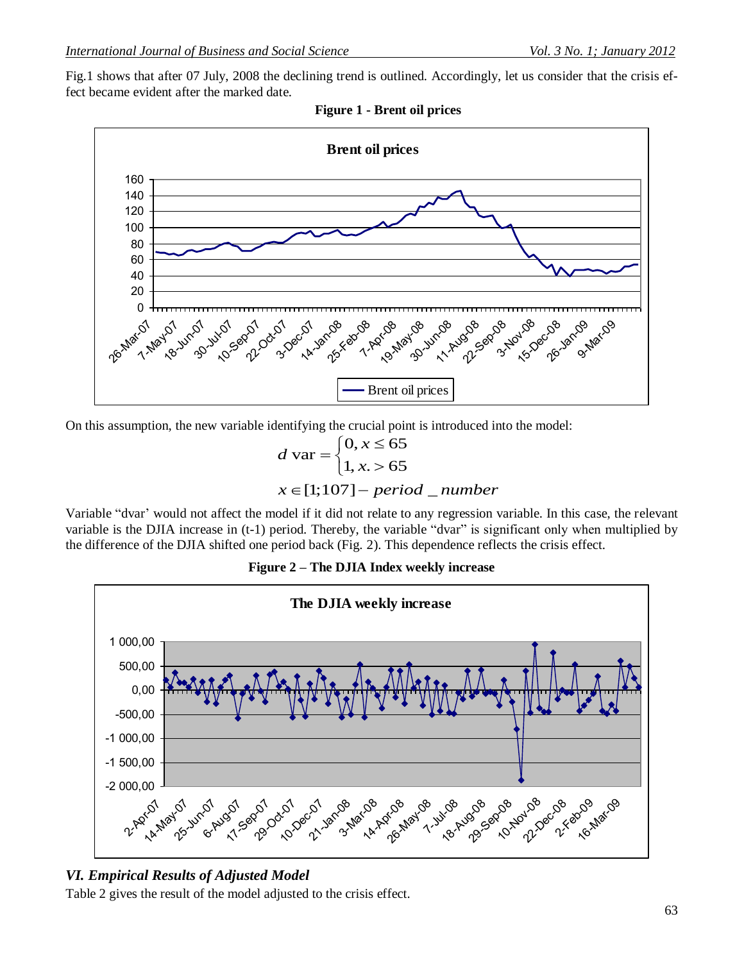Fig.1 shows that after 07 July, 2008 the declining trend is outlined. Accordingly, let us consider that the crisis effect became evident after the marked date.





On this assumption, the new variable identifying the crucial point is introduced into the model:<br>  $\int 0, x \le 65$ 

$$
d \text{ var} = \begin{cases} 0, x \le 65 \\ 1, x > 65 \end{cases}
$$

$$
x \in [1; 107] - period\_number
$$

Variable "dvar' would not affect the model if it did not relate to any regression variable. In this case, the relevant variable is the DJIA increase in (t-1) period. Thereby, the variable "dvar" is significant only when multiplied by the difference of the DJIA shifted one period back (Fig. 2). This dependence reflects the crisis effect.



**Figure 2 – The DJIA Index weekly increase**

# *VI. Empirical Results of Adjusted Model*

Table 2 gives the result of the model adjusted to the crisis effect.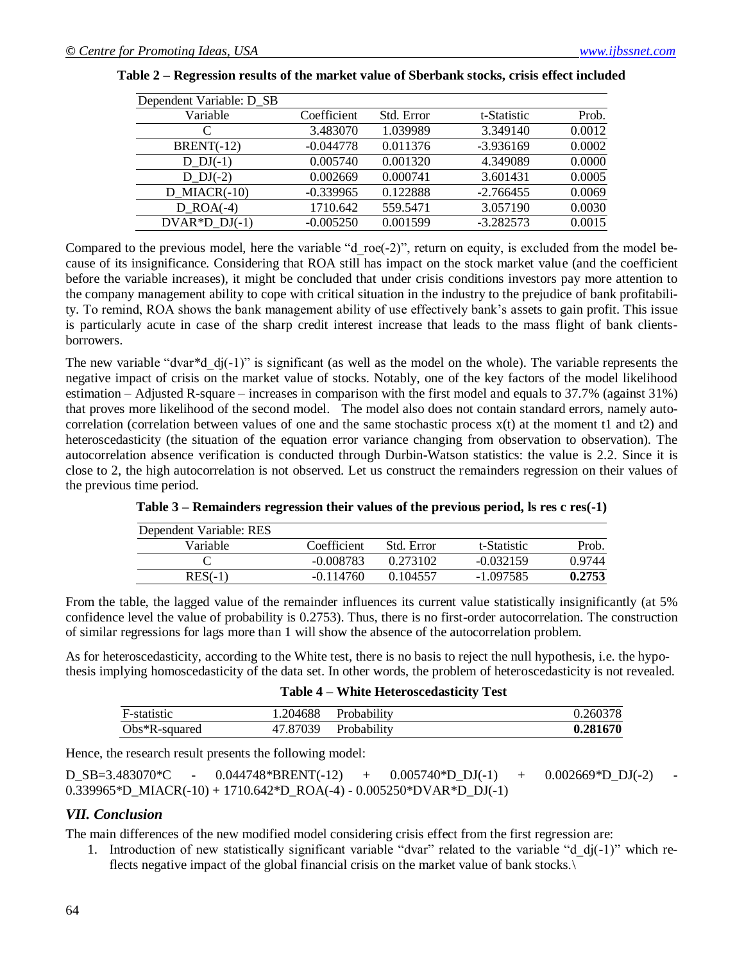| Dependent Variable: D_SB |             |            |             |        |
|--------------------------|-------------|------------|-------------|--------|
| Variable                 | Coefficient | Std. Error | t-Statistic | Prob.  |
|                          | 3.483070    | 1.039989   | 3.349140    | 0.0012 |
| $BRENT(-12)$             | $-0.044778$ | 0.011376   | $-3.936169$ | 0.0002 |
| $D$ $DJ(-1)$             | 0.005740    | 0.001320   | 4.349089    | 0.0000 |
| D $DJ(-2)$               | 0.002669    | 0.000741   | 3.601431    | 0.0005 |
| $D_MIACR(-10)$           | $-0.339965$ | 0.122888   | $-2.766455$ | 0.0069 |
| $D$ ROA $(-4)$           | 1710.642    | 559.5471   | 3.057190    | 0.0030 |
| DVAR * D $DJ(-1)$        | $-0.005250$ | 0.001599   | $-3.282573$ | 0.0015 |

|  | Table 2 – Regression results of the market value of Sberbank stocks, crisis effect included |  |  |  |
|--|---------------------------------------------------------------------------------------------|--|--|--|
|  |                                                                                             |  |  |  |
|  |                                                                                             |  |  |  |

Compared to the previous model, here the variable "d\_roe(-2)", return on equity, is excluded from the model because of its insignificance. Considering that ROA still has impact on the stock market value (and the coefficient before the variable increases), it might be concluded that under crisis conditions investors pay more attention to the company management ability to cope with critical situation in the industry to the prejudice of bank profitability. To remind, ROA shows the bank management ability of use effectively bank's assets to gain profit. This issue is particularly acute in case of the sharp credit interest increase that leads to the mass flight of bank clientsborrowers.

The new variable "dvar\*d  $dj(-1)$ " is significant (as well as the model on the whole). The variable represents the negative impact of crisis on the market value of stocks. Notably, one of the key factors of the model likelihood estimation – Adjusted R-square – increases in comparison with the first model and equals to 37.7% (against 31%) that proves more likelihood of the second model. The model also does not contain standard errors, namely autocorrelation (correlation between values of one and the same stochastic process x(t) at the moment t1 and t2) and heteroscedasticity (the situation of the equation error variance changing from observation to observation). The autocorrelation absence verification is conducted through Durbin-Watson statistics: the value is 2.2. Since it is close to 2, the high autocorrelation is not observed. Let us construct the remainders regression on their values of the previous time period.

| Dependent Variable: RES |             |            |             |        |
|-------------------------|-------------|------------|-------------|--------|
| Variable                | Coefficient | Std. Error | t-Statistic | Prob.  |
|                         | -0.008783   | 0.273102   | $-0.032159$ | 0.9744 |
| $RES(-1)$               | $-0.114760$ | 0.104557   | -1.097585   | 0.2753 |

| Table 3 – Remainders regression their values of the previous period, ls res c res(-1) |  |  |  |  |  |  |  |  |
|---------------------------------------------------------------------------------------|--|--|--|--|--|--|--|--|
|---------------------------------------------------------------------------------------|--|--|--|--|--|--|--|--|

From the table, the lagged value of the remainder influences its current value statistically insignificantly (at 5% confidence level the value of probability is 0.2753). Thus, there is no first-order autocorrelation. The construction of similar regressions for lags more than 1 will show the absence of the autocorrelation problem.

As for heteroscedasticity, according to the White test, there is no basis to reject the null hypothesis, i.e. the hypothesis implying homoscedasticity of the data set. In other words, the problem of heteroscedasticity is not revealed.

|  | Table 4 – White Heteroscedasticity Test |  |
|--|-----------------------------------------|--|
|--|-----------------------------------------|--|

| F-statistic      | .204688  | Probability | 0.260378 |
|------------------|----------|-------------|----------|
| $Obs*R$ -squared | 47.87039 | Probability | 0.281670 |

Hence, the research result presents the following model:

| D SB=3.483070 <sup>*</sup> C | $0.044748$ *BRENT(-12) + | $0.005740*D\_DI(-1)$ + $0.002669*D\_DI(-2)$                           |  |
|------------------------------|--------------------------|-----------------------------------------------------------------------|--|
|                              |                          | $0.339965*D_MIACR(-10) + 1710.642*D_ROA(-4) - 0.005250*DVAR*D_DJ(-1)$ |  |

#### *VII. Conclusion*

The main differences of the new modified model considering crisis effect from the first regression are:

1. Introduction of new statistically significant variable "dvar" related to the variable "d\_dj(-1)" which reflects negative impact of the global financial crisis on the market value of bank stocks.\